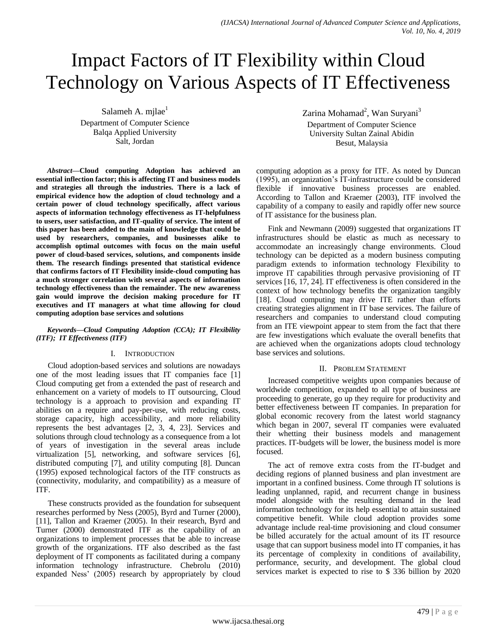# Impact Factors of IT Flexibility within Cloud Technology on Various Aspects of IT Effectiveness

Salameh A. milae $<sup>1</sup>$ </sup>

Department of Computer Science Balqa Applied University Salt, Jordan

*Abstract***—Cloud computing Adoption has achieved an essential inflection factor; this is affecting IT and business models and strategies all through the industries. There is a lack of empirical evidence how the adoption of cloud technology and a certain power of cloud technology specifically, affect various aspects of information technology effectiveness as IT-helpfulness to users, user satisfaction, and IT-quality of service. The intent of this paper has been added to the main of knowledge that could be used by researchers, companies, and businesses alike to accomplish optimal outcomes with focus on the main useful power of cloud-based services, solutions, and components inside them. The research findings presented that statistical evidence that confirms factors of IT Flexibility inside-cloud computing has a much stronger correlation with several aspects of information technology effectiveness than the remainder. The new awareness gain would improve the decision making procedure for IT executives and IT managers at what time allowing for cloud computing adoption base services and solutions**

## *Keywords—Cloud Computing Adoption (CCA); IT Flexibility (ITF); IT Effectiveness (ITF)*

# I. INTRODUCTION

Cloud adoption-based services and solutions are nowadays one of the most leading issues that IT companies face [1] Cloud computing get from a extended the past of research and enhancement on a variety of models to IT outsourcing, Cloud technology is a approach to provision and expanding IT abilities on a require and pay-per-use, with reducing costs, storage capacity, high accessibility, and more reliability represents the best advantages [2, 3, 4, 23]. Services and solutions through cloud technology as a consequence from a lot of years of investigation in the several areas include virtualization [5], networking, and software services [6], distributed computing [7], and utility computing [8]. Duncan (1995) exposed technological factors of the ITF constructs as (connectivity, modularity, and compatibility) as a measure of ITF.

These constructs provided as the foundation for subsequent researches performed by Ness (2005), Byrd and Turner (2000), [11], Tallon and Kraemer (2005). In their research, Byrd and Turner (2000) demonstrated ITF as the capability of an organizations to implement processes that be able to increase growth of the organizations. ITF also described as the fast deployment of IT components as facilitated during a company information technology infrastructure. Chebrolu (2010) expanded Ness' (2005) research by appropriately by cloud Zarina Mohamad<sup>2</sup>, Wan Suryani<sup>3</sup> Department of Computer Science University Sultan Zainal Abidin Besut, Malaysia

computing adoption as a proxy for ITF. As noted by Duncan (1995), an organization's IT-infrastructure could be considered flexible if innovative business processes are enabled. According to Tallon and Kraemer (2003), ITF involved the capability of a company to easily and rapidly offer new source of IT assistance for the business plan.

Fink and Newmann (2009) suggested that organizations IT infrastructures should be elastic as much as necessary to accommodate an increasingly change environments. Cloud technology can be depicted as a modern business computing paradigm extends to information technology Flexibility to improve IT capabilities through pervasive provisioning of IT services [16, 17, 24]. IT effectiveness is often considered in the context of how technology benefits the organization tangibly [18]. Cloud computing may drive ITE rather than efforts creating strategies alignment in IT base services. The failure of researchers and companies to understand cloud computing from an ITE viewpoint appear to stem from the fact that there are few investigations which evaluate the overall benefits that are achieved when the organizations adopts cloud technology base services and solutions.

# II. PROBLEM STATEMENT

Increased competitive weights upon companies because of worldwide competition, expanded to all type of business are proceeding to generate, go up they require for productivity and better effectiveness between IT companies. In preparation for global economic recovery from the latest world stagnancy which began in 2007, several IT companies were evaluated their whetting their business models and management practices. IT-budgets will be lower, the business model is more focused.

The act of remove extra costs from the IT-budget and deciding regions of planned business and plan investment are important in a confined business. Come through IT solutions is leading unplanned, rapid, and recurrent change in business model alongside with the resulting demand in the lead information technology for its help essential to attain sustained competitive benefit. While cloud adoption provides some advantage include real-time provisioning and cloud consumer be billed accurately for the actual amount of its IT resource usage that can support business model into IT companies, it has its percentage of complexity in conditions of availability, performance, security, and development. The global cloud services market is expected to rise to \$ 336 billion by 2020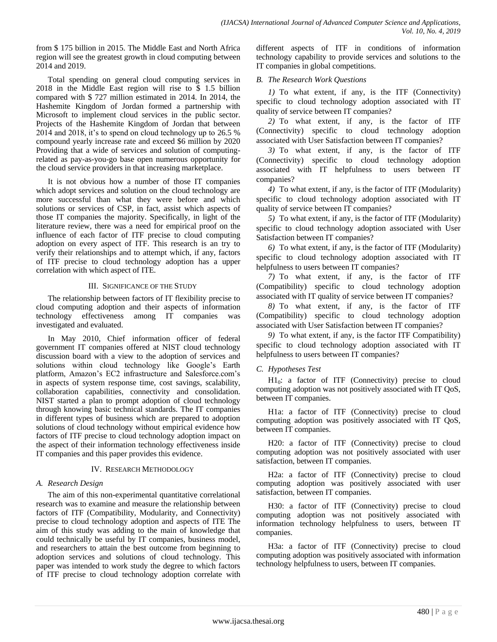from \$ 175 billion in 2015. The Middle East and North Africa region will see the greatest growth in cloud computing between 2014 and 2019.

Total spending on general cloud computing services in 2018 in the Middle East region will rise to \$ 1.5 billion compared with \$ 727 million estimated in 2014. In 2014, the Hashemite Kingdom of Jordan formed a partnership with Microsoft to implement cloud services in the public sector. Projects of the Hashemite Kingdom of Jordan that between 2014 and 2018, it's to spend on cloud technology up to 26.5 % compound yearly increase rate and exceed \$6 million by 2020 Providing that a wide of services and solution of computingrelated as pay-as-you-go base open numerous opportunity for the cloud service providers in that increasing marketplace.

It is not obvious how a number of those IT companies which adopt services and solution on the cloud technology are more successful than what they were before and which solutions or services of CSP, in fact, assist which aspects of those IT companies the majority. Specifically, in light of the literature review, there was a need for empirical proof on the influence of each factor of ITF precise to cloud computing adoption on every aspect of ITF. This research is an try to verify their relationships and to attempt which, if any, factors of ITF precise to cloud technology adoption has a upper correlation with which aspect of ITE.

## III. SIGNIFICANCE OF THE STUDY

The relationship between factors of IT flexibility precise to cloud computing adoption and their aspects of information technology effectiveness among IT companies was investigated and evaluated.

In May 2010, Chief information officer of federal government IT companies offered at NIST cloud technology discussion board with a view to the adoption of services and solutions within cloud technology like Google's Earth platform, Amazon's EC2 infrastructure and Salesforce.com's in aspects of system response time, cost savings, scalability, collaboration capabilities, connectivity and consolidation. NIST started a plan to prompt adoption of cloud technology through knowing basic technical standards. The IT companies in different types of business which are prepared to adoption solutions of cloud technology without empirical evidence how factors of ITF precise to cloud technology adoption impact on the aspect of their information technology effectiveness inside IT companies and this paper provides this evidence.

## IV. RESEARCH METHODOLOGY

# *A. Research Design*

The aim of this non-experimental quantitative correlational research was to examine and measure the relationship between factors of ITF (Compatibility, Modularity, and Connectivity) precise to cloud technology adoption and aspects of ITE The aim of this study was adding to the main of knowledge that could technically be useful by IT companies, business model, and researchers to attain the best outcome from beginning to adoption services and solutions of cloud technology. This paper was intended to work study the degree to which factors of ITF precise to cloud technology adoption correlate with different aspects of ITF in conditions of information technology capability to provide services and solutions to the IT companies in global competitions.

# *B. The Research Work Questions*

*1)* To what extent, if any, is the ITF (Connectivity) specific to cloud technology adoption associated with IT quality of service between IT companies?

*2)* To what extent, if any, is the factor of ITF (Connectivity) specific to cloud technology adoption associated with User Satisfaction between IT companies?

*3)* To what extent, if any, is the factor of ITF (Connectivity) specific to cloud technology adoption associated with IT helpfulness to users between IT companies?

*4)* To what extent, if any, is the factor of ITF (Modularity) specific to cloud technology adoption associated with IT quality of service between IT companies?

*5)* To what extent, if any, is the factor of ITF (Modularity) specific to cloud technology adoption associated with User Satisfaction between IT companies?

*6)* To what extent, if any, is the factor of ITF (Modularity) specific to cloud technology adoption associated with IT helpfulness to users between IT companies?

*7)* To what extent, if any, is the factor of ITF (Compatibility) specific to cloud technology adoption associated with IT quality of service between IT companies?

*8)* To what extent, if any, is the factor of ITF (Compatibility) specific to cloud technology adoption associated with User Satisfaction between IT companies?

*9)* To what extent, if any, is the factor ITF Compatibility) specific to cloud technology adoption associated with IT helpfulness to users between IT companies?

# *C. Hypotheses Test*

 $H1<sub>0</sub>$ : a factor of ITF (Connectivity) precise to cloud computing adoption was not positively associated with IT QoS, between IT companies.

H1a: a factor of ITF (Connectivity) precise to cloud computing adoption was positively associated with IT QoS, between IT companies.

H20: a factor of ITF (Connectivity) precise to cloud computing adoption was not positively associated with user satisfaction, between IT companies.

H2a: a factor of ITF (Connectivity) precise to cloud computing adoption was positively associated with user satisfaction, between IT companies.

H30: a factor of ITF (Connectivity) precise to cloud computing adoption was not positively associated with information technology helpfulness to users, between IT companies.

H3a: a factor of ITF (Connectivity) precise to cloud computing adoption was positively associated with information technology helpfulness to users, between IT companies.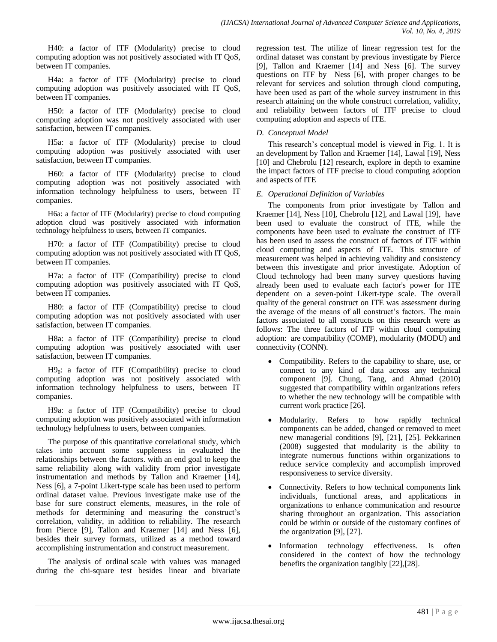H40: a factor of ITF (Modularity) precise to cloud computing adoption was not positively associated with IT QoS, between IT companies.

H4a: a factor of ITF (Modularity) precise to cloud computing adoption was positively associated with IT QoS, between IT companies.

H50: a factor of ITF (Modularity) precise to cloud computing adoption was not positively associated with user satisfaction, between IT companies.

H5a: a factor of ITF (Modularity) precise to cloud computing adoption was positively associated with user satisfaction, between IT companies.

H60: a factor of ITF (Modularity) precise to cloud computing adoption was not positively associated with information technology helpfulness to users, between IT companies.

H6a: a factor of ITF (Modularity) precise to cloud computing adoption cloud was positively associated with information technology helpfulness to users, between IT companies.

H70: a factor of ITF (Compatibility) precise to cloud computing adoption was not positively associated with IT QoS, between IT companies.

H7a: a factor of ITF (Compatibility) precise to cloud computing adoption was positively associated with IT QoS, between IT companies.

H80: a factor of ITF (Compatibility) precise to cloud computing adoption was not positively associated with user satisfaction, between IT companies.

H8a: a factor of ITF (Compatibility) precise to cloud computing adoption was positively associated with user satisfaction, between IT companies.

 $H9<sub>0</sub>$ : a factor of ITF (Compatibility) precise to cloud computing adoption was not positively associated with information technology helpfulness to users, between IT companies.

H9a: a factor of ITF (Compatibility) precise to cloud computing adoption was positively associated with information technology helpfulness to users, between companies.

The purpose of this quantitative correlational study, which takes into account some suppleness in evaluated the relationships between the factors. with an end goal to keep the same reliability along with validity from prior investigate instrumentation and methods by Tallon and Kraemer [14], Ness [6], a 7-point Likert-type scale has been used to perform ordinal dataset value. Previous investigate make use of the base for sure construct elements, measures, in the role of methods for determining and measuring the construct's correlation, validity, in addition to reliability. The research from Pierce [9], Tallon and Kraemer [14] and Ness [6], besides their survey formats, utilized as a method toward accomplishing instrumentation and construct measurement.

The analysis of ordinal scale with values was managed during the chi-square test besides linear and bivariate regression test. The utilize of linear regression test for the ordinal dataset was constant by previous investigate by Pierce [9], Tallon and Kraemer [14] and Ness [6]. The survey questions on ITF by Ness [6], with proper changes to be relevant for services and solution through cloud computing, have been used as part of the whole survey instrument in this research attaining on the whole construct correlation, validity, and reliability between factors of ITF precise to cloud computing adoption and aspects of ITE.

# *D. Conceptual Model*

This research's conceptual model is viewed in Fig. 1. It is an development by Tallon and Kraemer [14], Lawal [19], Ness [10] and Chebrolu [12] research, explore in depth to examine the impact factors of ITF precise to cloud computing adoption and aspects of ITE

# *E. Operational Definition of Variables*

The components from prior investigate by Tallon and Kraemer [14], Ness [10], Chebrolu [12], and Lawal [19], have been used to evaluate the construct of ITE, while the components have been used to evaluate the construct of ITF has been used to assess the construct of factors of ITF within cloud computing and aspects of ITE. This structure of measurement was helped in achieving validity and consistency between this investigate and prior investigate. Adoption of Cloud technology had been many survey questions having already been used to evaluate each factor's power for ITE dependent on a seven-point Likert-type scale. The overall quality of the general construct on ITE was assessment during the average of the means of all construct's factors. The main factors associated to all constructs on this research were as follows: The three factors of ITF within cloud computing adoption: are compatibility (COMP), modularity (MODU) and connectivity (CONN).

- Compatibility. Refers to the capability to share, use, or connect to any kind of data across any technical component [9]. Chung, Tang, and Ahmad (2010) suggested that compatibility within organizations refers to whether the new technology will be compatible with current work practice [26].
- Modularity. Refers to how rapidly technical components can be added, changed or removed to meet new managerial conditions [9], [21], [25]. Pekkarinen (2008) suggested that modularity is the ability to integrate numerous functions within organizations to reduce service complexity and accomplish improved responsiveness to service diversity.
- Connectivity. Refers to how technical components link individuals, functional areas, and applications in organizations to enhance communication and resource sharing throughout an organization. This association could be within or outside of the customary confines of the organization [9], [27].
- Information technology effectiveness. Is often considered in the context of how the technology benefits the organization tangibly [22],[28].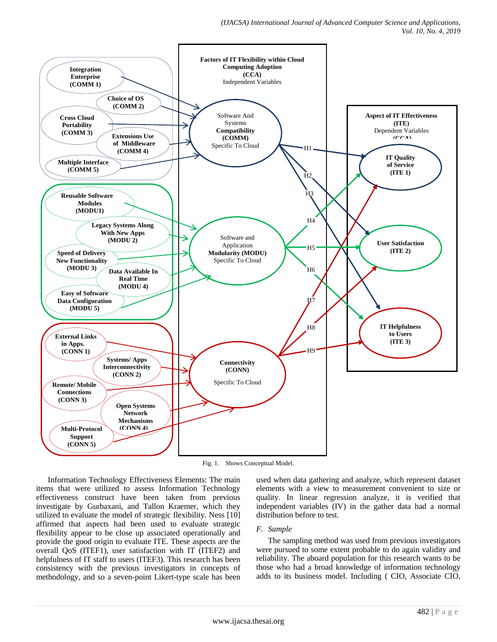

Fig. 1. Shows Conceptual Model.

Information Technology Effectiveness Elements: The main items that were utilized to assess Information Technology effectiveness construct have been taken from previous investigate by Gurbaxani, and Tallon Kraemer, which they utilized to evaluate the model of strategic flexibility. Ness [10] affirmed that aspects had been used to evaluate strategic flexibility appear to be close up associated operationally and provide the good origin to evaluate ITE. These aspects are the overall QoS (ITEF1), user satisfaction with IT (ITEF2) and helpfulness of IT staff to users (ITEF3). This research has been consistency with the previous investigators in concepts of methodology, and so a seven-point Likert-type scale has been used when data gathering and analyze, which represent dataset elements with a view to measurement convenient to size or quality. In linear regression analyze, it is verified that independent variables (IV) in the gather data had a normal distribution before to test.

## *F. Sample*

The sampling method was used from previous investigators were pursued to some extent probable to do again validity and reliability. The aboard population for this research wants to be those who had a broad knowledge of information technology adds to its business model. Including ( CIO, Associate CIO,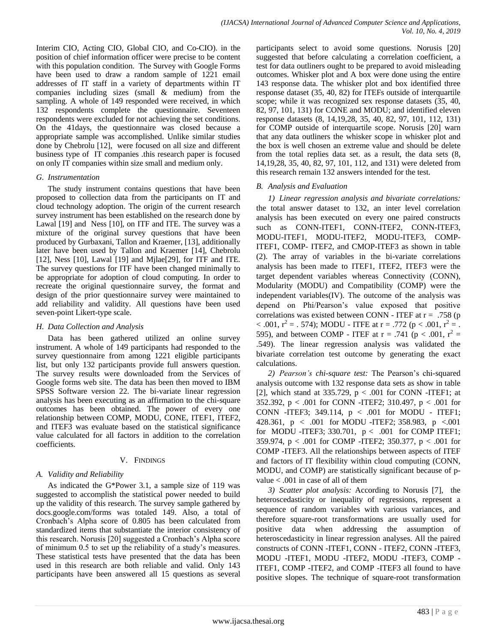Interim CIO, Acting CIO, Global CIO, and Co-CIO). in the position of chief information officer were precise to be content with this population condition. The Survey with Google Forms have been used to draw a random sample of 1221 email addresses of IT staff in a variety of departments within IT companies including sizes (small & medium) from the sampling. A whole of 149 responded were received, in which 132 respondents complete the questionnaire. Seventeen respondents were excluded for not achieving the set conditions. On the 41days, the questionnaire was closed because a appropriate sample was accomplished. Unlike similar studies done by Chebrolu [12], were focused on all size and different business type of IT companies .this research paper is focused on only IT companies within size small and medium only.

## *G. Instrumentation*

The study instrument contains questions that have been proposed to collection data from the participants on IT and cloud technology adoption. The origin of the current research survey instrument has been established on the research done by Lawal [19] and Ness [10], on ITF and ITE. The survey was a mixture of the original survey questions that have been produced by Gurbaxani, Tallon and Kraemer, [13], additionally later have been used by Tallon and Kraemer [14], Chebrolu [12], Ness [10], Lawal [19] and Mjlae<sup>[29]</sup>, for ITF and ITE. The survey questions for ITF have been changed minimally to be appropriate for adoption of cloud computing. In order to recreate the original questionnaire survey, the format and design of the prior questionnaire survey were maintained to add reliability and validity. All questions have been used seven-point Likert-type scale.

## *H. Data Collection and Analysis*

Data has been gathered utilized an online survey instrument. A whole of 149 participants had responded to the survey questionnaire from among 1221 eligible participants list, but only 132 participants provide full answers question. The survey results were downloaded from the Services of Google forms web site. The data has been then moved to IBM SPSS Software version 22. The bi-variate linear regression analysis has been executing as an affirmation to the chi-square outcomes has been obtained. The power of every one relationship between COMP, MODU, CONE, ITEF1, ITEF2, and ITEF3 was evaluate based on the statistical significance value calculated for all factors in addition to the correlation coefficients.

## V. FINDINGS

## *A. Validity and Reliability*

As indicated the G\*Power 3.1, a sample size of 119 was suggested to accomplish the statistical power needed to build up the validity of this research. The survey sample gathered by docs.google.com/forms was totaled 149. Also, a total of Cronbach's Alpha score of 0.805 has been calculated from standardized items that substantiate the interior consistency of this research. Norusis [20] suggested a Cronbach's Alpha score of minimum 0.5 to set up the reliability of a study's measures. These statistical tests have presented that the data has been used in this research are both reliable and valid. Only 143 participants have been answered all 15 questions as several participants select to avoid some questions. Norusis [20] suggested that before calculating a correlation coefficient, a test for data outliners ought to be prepared to avoid misleading outcomes. Whisker plot and A box were done using the entire 143 response data. The whisker plot and box identified three response dataset (35, 40, 82) for ITEFs outside of interquartile scope; while it was recognized sex response datasets (35, 40, 82, 97, 101, 131) for CONE and MODU; and identified eleven response datasets (8, 14,19,28, 35, 40, 82, 97, 101, 112, 131) for COMP outside of interquartile scope. Norusis [20] warn that any data outliners the whisker scope in whisker plot and the box is well chosen an extreme value and should be delete from the total replies data set. as a result, the data sets (8, 14,19,28, 35, 40, 82, 97, 101, 112, and 131) were deleted from this research remain 132 answers intended for the test.

## *B. Analysis and Evaluation*

*1) Linear regression analysis and bivariate correlations:* the total answer dataset to 132, an inter level correlation analysis has been executed on every one paired constructs such as CONN-ITEF1, CONN-ITEF2, CONN-ITEF3, MODU-ITEF1, MODU-ITEF2, MODU-ITEF3, COMP-ITEF1, COMP- ITEF2, and CMOP-ITEF3 as shown in table (2). The array of variables in the bi-variate correlations analysis has been made to ITEF1, ITEF2, ITEF3 were the target dependent variables whereas Connectivity (CONN), Modularity (MODU) and Compatibility (COMP) were the independent variables(IV). The outcome of the analysis was depend on Phi/Pearson's value exposed that positive correlations was existed between CONN - ITEF at  $r = .758$  (p < .001,  $r^2 = 0.574$ ; MODU - ITFE at  $r = 0.772$  ( $p < 0.001$ ,  $r^2 = 0.001$ ,  $r^2 = 0.001$ ,  $r^2 = 0.001$ ,  $r^2 = 0.001$ ,  $r^2 = 0.001$ ,  $r^2 = 0.001$ ,  $r^2 = 0.001$ ,  $r^2 = 0.001$ ,  $r^2 = 0.001$ ,  $r^2 = 0.001$ ,  $r^2 = 0.001$ ,  $r^2 =$ 595), and between COMP - ITEF at  $r = .741$  ( $p < .001$ ,  $r^2 =$ .549). The linear regression analysis was validated the bivariate correlation test outcome by generating the exact calculations.

*2) Pearson's chi-square test:* The Pearson's chi-squared analysis outcome with 132 response data sets as show in table [2], which stand at 335.729,  $p < .001$  for CONN -ITEF1; at 352.392,  $p < .001$  for CONN -ITEF2; 310.497,  $p < .001$  for CONN -ITEF3; 349.114, p < .001 for MODU - ITEF1; 428.361, p < .001 for MODU -ITEF2; 358.983, p <.001 for MODU -ITEF3; 330.701,  $p < .001$  for COMP ITEF1; 359.974, p < .001 for COMP -ITEF2; 350.377, p < .001 for COMP -ITEF3. All the relationships between aspects of ITEF and factors of IT flexibility within cloud computing (CONN, MODU, and COMP) are statistically significant because of pvalue < .001 in case of all of them

*3) Scatter plot analysis:* According to Norusis [7], the heteroscedasticity or inequality of regressions, represent a sequence of random variables with various variances, and therefore square-root transformations are usually used for positive data when addressing the assumption of heteroscedasticity in linear regression analyses. All the paired constructs of CONN -ITEF1, CONN - ITEF2, CONN -ITEF3, MODU -ITEF1, MODU -ITEF2, MODU -ITEF3, COMP - ITEF1, COMP -ITEF2, and COMP -ITEF3 all found to have positive slopes. The technique of square-root transformation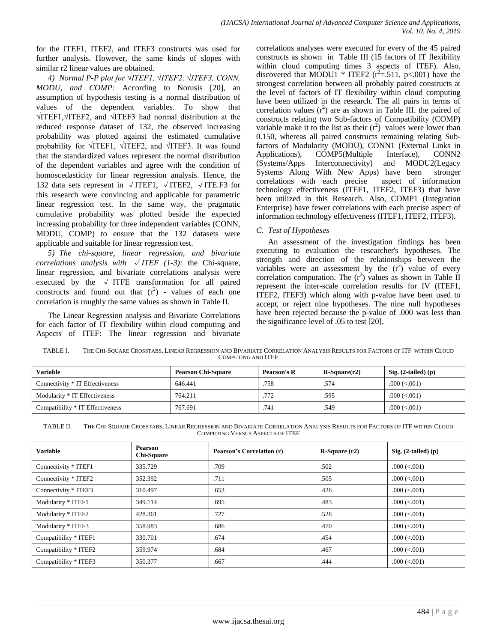for the ITEF1, ITEF2, and ITEF3 constructs was used for further analysis. However, the same kinds of slopes with similar r2 linear values are obtained.

*4) Normal P-P plot for √ITEF1, √ITEF2, √ITEF3, CONN, MODU, and COMP:* According to Norusis [20], an assumption of hypothesis testing is a normal distribution of values of the dependent variables. To show that √ITEF1,√ITEF2, and √ITEF3 had normal distribution at the reduced response dataset of 132, the observed increasing probability was plotted against the estimated cumulative probability for √ITEF1, √ITEF2, and √ITEF3. It was found that the standardized values represent the normal distribution of the dependent variables and agree with the condition of homoscedasticity for linear regression analysis. Hence, the 132 data sets represent in √ITEF1, √ITEF2, √ITE.F3 for this research were convincing and applicable for parametric linear regression test. In the same way, the pragmatic cumulative probability was plotted beside the expected increasing probability for three independent variables (CONN, MODU, COMP) to ensure that the 132 datasets were applicable and suitable for linear regression test.

*5) The chi-square, linear regression, and bivariate correlations analysis with*  $\sqrt{ITEF}$  (1-3): the Chi-square, linear regression, and bivariate correlations analysis were executed by the  $\sqrt{I}$  ITFE transformation for all paired constructs and found out that  $(r^2)$  - values of each one correlation is roughly the same values as shown in Table II.

The Linear Regression analysis and Bivariate Correlations for each factor of IT flexibility within cloud computing and Aspects of ITEF: The linear regression and bivariate correlations analyses were executed for every of the 45 paired constructs as shown in Table III (15 factors of IT flexibility within cloud computing times 3 aspects of ITEF). Also, discovered that MODU1  $*$  ITEF2 ( $r^2$ =.511, p<.001) have the strongest correlation between all probably paired constructs at the level of factors of IT flexibility within cloud computing have been utilized in the research. The all pairs in terms of correlation values  $(r^2)$  are as shown in Table III. the paired of constructs relating two Sub-factors of Compatibility (COMP) variable make it to the list as their  $(r^2)$  values were lower than 0.150, whereas all paired constructs remaining relating Subfactors of Modularity (MODU), CONN1 (External Links in Applications), COMP5(Multiple Interface), CONN2 (Systems/Apps Interconnectivity) and MODU2(Legacy Systems Along With New Apps) have been stronger correlations with each precise aspect of information technology effectiveness (ITEF1, ITEF2, ITEF3) that have been utilized in this Research. Also, COMP1 (Integration Enterprise) have fewer correlations with each precise aspect of information technology effectiveness (ITEF1, ITEF2, ITEF3).

# *C. Test of Hypotheses*

An assessment of the investigation findings has been executing to evaluation the researcher's hypotheses. The strength and direction of the relationships between the variables were an assessment by the  $(r^2)$  value of every correlation computation. The  $(r^2)$  values as shown in Table II represent the inter-scale correlation results for IV (ITEF1, ITEF2, ITEF3) which along with p-value have been used to accept, or reject nine hypotheses. The nine null hypotheses have been rejected because the p-value of .000 was less than the significance level of .05 to test [20].

TABLE I. THE CHI-SQUARE CROSSTABS, LINEAR REGRESSION AND BIVARIATE CORRELATION ANALYSIS RESULTS FOR FACTORS OF ITF WITHIN CLOUD COMPUTING AND ITEF

| Variable                         | <b>Pearson Chi-Square</b> | Pearson's R | $R-Square(r2)$ | Sig. $(2-tailed)$ (p) |
|----------------------------------|---------------------------|-------------|----------------|-----------------------|
| Connectivity * IT Effectiveness  | 646.441                   | .758        | .574           | $.000 \, (< .001)$    |
| Modularity * IT Effectiveness    | 764.211                   | .772        | .595           | $.000 \le 0.001$      |
| Compatibility * IT Effectiveness | 767.691                   | .741        | .549           | $.000 \, (< .001)$    |

| TABLE II. | THE CHI-SOUARE CROSSTABS. LINEAR REGRESSION AND BIVARIATE CORRELATION ANALYSIS RESULTS FOR FACTORS OF ITF WITHIN CLOUD |
|-----------|------------------------------------------------------------------------------------------------------------------------|
|           | COMPUTING VERSUS ASPECTS OF ITEF                                                                                       |

| <b>Variable</b>       | Pearson<br><b>Chi-Square</b> | Pearson's Correlation (r) | $R-Square(r2)$ | Sig. $(2-tailed)$ (p) |
|-----------------------|------------------------------|---------------------------|----------------|-----------------------|
| Connectivity * ITEF1  | 335.729                      | .709                      | .502           | $.000 \, (< .001)$    |
| Connectivity * ITEF2  | 352.392                      | .711                      | .505           | $.000 \, (< .001)$    |
| Connectivity * ITEF3  | 310.497                      | .653                      | .426           | $.000 \, (< .001)$    |
| Modularity * ITEF1    | 349.114                      | .695                      | .483           | $.000 \, (< .001)$    |
| Modularity * ITEF2    | 428.361                      | .727                      | .528           | $.000 \, (< .001)$    |
| Modularity * ITEF3    | 358.983                      | .686                      | .470           | $.000 \, (< .001)$    |
| Compatibility * ITEF1 | 330.701                      | .674                      | .454           | $.000 \, (< .001)$    |
| Compatibility * ITEF2 | 359.974                      | .684                      | .467           | $.000 \, (< .001)$    |
| Compatibility * ITEF3 | 350.377                      | .667                      | .444           | $.000 \, (< .001)$    |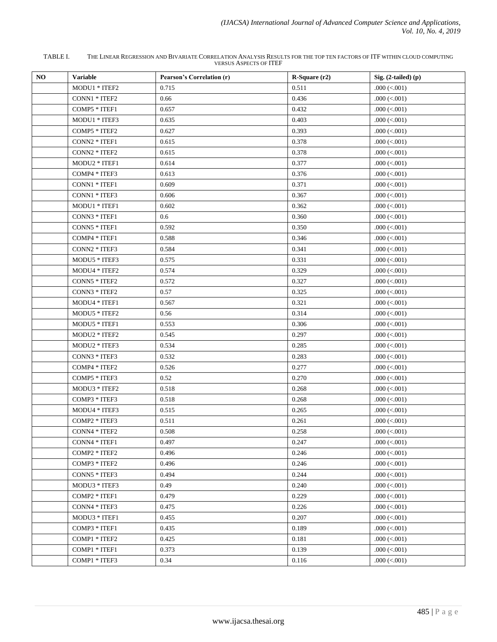TABLE I. THE LINEAR REGRESSION AND BIVARIATE CORRELATION ANALYSIS RESULTS FOR THE TOP TEN FACTORS OF ITF WITHIN CLOUD COMPUTING VERSUS ASPECTS OF ITEF

| Sig. (2-tailed) (p) |
|---------------------|
|                     |
|                     |
|                     |
|                     |
|                     |
|                     |
|                     |
|                     |
|                     |
|                     |
|                     |
|                     |
|                     |
|                     |
|                     |
|                     |
|                     |
|                     |
|                     |
|                     |
|                     |
|                     |
|                     |
|                     |
|                     |
|                     |
|                     |
|                     |
|                     |
|                     |
|                     |
|                     |
|                     |
|                     |
|                     |
|                     |
|                     |
|                     |
|                     |
|                     |
|                     |
|                     |
|                     |
|                     |
|                     |
|                     |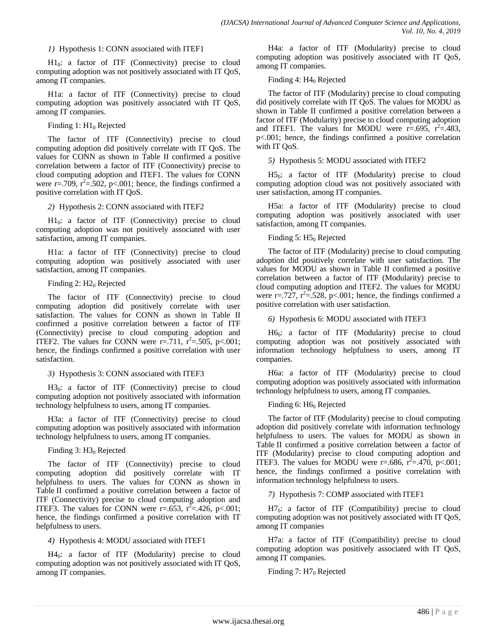## *1)* Hypothesis 1: CONN associated with ITEF1

 $H1<sub>0</sub>$ : a factor of ITF (Connectivity) precise to cloud computing adoption was not positively associated with IT QoS, among IT companies.

H1a: a factor of ITF (Connectivity) precise to cloud computing adoption was positively associated with IT QoS, among IT companies.

## Finding  $1: H1_0$  Rejected

The factor of ITF (Connectivity) precise to cloud computing adoption did positively correlate with IT QoS. The values for CONN as shown in Table II confirmed a positive correlation between a factor of ITF (Connectivity) precise to cloud computing adoption and ITEF1. The values for CONN were r=.709,  $r^2$ =.502, p<.001; hence, the findings confirmed a positive correlation with IT QoS.

#### *2)* Hypothesis 2: CONN associated with ITEF2

 $H1<sub>0</sub>$ : a factor of ITF (Connectivity) precise to cloud computing adoption was not positively associated with user satisfaction, among IT companies.

H1a: a factor of ITF (Connectivity) precise to cloud computing adoption was positively associated with user satisfaction, among IT companies.

#### Finding 2:  $H2<sub>0</sub>$  Rejected

The factor of ITF (Connectivity) precise to cloud computing adoption did positively correlate with user satisfaction. The values for CONN as shown in Table II confirmed a positive correlation between a factor of ITF (Connectivity) precise to cloud computing adoption and **ITEF2.** The values for CONN were r=.711,  $\vec{r}^2 = .505$ , p<.001; hence, the findings confirmed a positive correlation with user satisfaction.

#### *3)* Hypothesis 3: CONN associated with ITEF3

H3 $_0$ : a factor of ITF (Connectivity) precise to cloud computing adoption not positively associated with information technology helpfulness to users, among IT companies.

H3a: a factor of ITF (Connectivity) precise to cloud computing adoption was positively associated with information technology helpfulness to users, among IT companies.

#### Finding  $3: H3<sub>0</sub>$  Rejected

The factor of ITF (Connectivity) precise to cloud computing adoption did positively correlate with IT helpfulness to users. The values for CONN as shown in Table II confirmed a positive correlation between a factor of ITF (Connectivity) precise to cloud computing adoption and **ITEF3.** The values for CONN were r=.653,  $r^2 = .426$ , p<.001; hence, the findings confirmed a positive correlation with IT helpfulness to users.

#### *4)* Hypothesis 4: MODU associated with ITEF1

H40: a factor of ITF (Modularity) precise to cloud computing adoption was not positively associated with IT QoS, among IT companies.

H4a: a factor of ITF (Modularity) precise to cloud computing adoption was positively associated with IT QoS, among IT companies.

### Finding 4:  $H4<sub>0</sub>$  Rejected

The factor of ITF (Modularity) precise to cloud computing did positively correlate with IT QoS. The values for MODU as shown in Table II confirmed a positive correlation between a factor of ITF (Modularity) precise to cloud computing adoption and ITEF1. The values for MODU were  $r=.695$ ,  $r^2=.483$ , p<.001; hence, the findings confirmed a positive correlation with IT QoS.

## *5)* Hypothesis 5: MODU associated with ITEF2

 $H5<sub>0</sub>$ : a factor of ITF (Modularity) precise to cloud computing adoption cloud was not positively associated with user satisfaction, among IT companies.

H5a: a factor of ITF (Modularity) precise to cloud computing adoption was positively associated with user satisfaction, among IT companies.

#### Finding 5:  $H5<sub>0</sub>$  Rejected

The factor of ITF (Modularity) precise to cloud computing adoption did positively correlate with user satisfaction. The values for MODU as shown in Table II confirmed a positive correlation between a factor of ITF (Modularity) precise to cloud computing adoption and ITEF2. The values for MODU were r=.727,  $r^2$ =.528, p<.001; hence, the findings confirmed a positive correlation with user satisfaction.

## *6)* Hypothesis 6: MODU associated with ITEF3

 $H6<sub>0</sub>$ : a factor of ITF (Modularity) precise to cloud computing adoption was not positively associated with information technology helpfulness to users, among IT companies.

H6a: a factor of ITF (Modularity) precise to cloud computing adoption was positively associated with information technology helpfulness to users, among IT companies.

## Finding 6: H6<sub>0</sub> Rejected

The factor of ITF (Modularity) precise to cloud computing adoption did positively correlate with information technology helpfulness to users. The values for MODU as shown in Table II confirmed a positive correlation between a factor of ITF (Modularity) precise to cloud computing adoption and **ITEF3.** The values for MODU were r=.686,  $r^2$ =.470, p<.001; hence, the findings confirmed a positive correlation with information technology helpfulness to users.

*7)* Hypothesis 7: COMP associated with ITEF1

 $H7<sub>0</sub>$ : a factor of ITF (Compatibility) precise to cloud computing adoption was not positively associated with IT QoS, among IT companies

H7a: a factor of ITF (Compatibility) precise to cloud computing adoption was positively associated with IT QoS, among IT companies.

## Finding 7:  $H7_0$  Rejected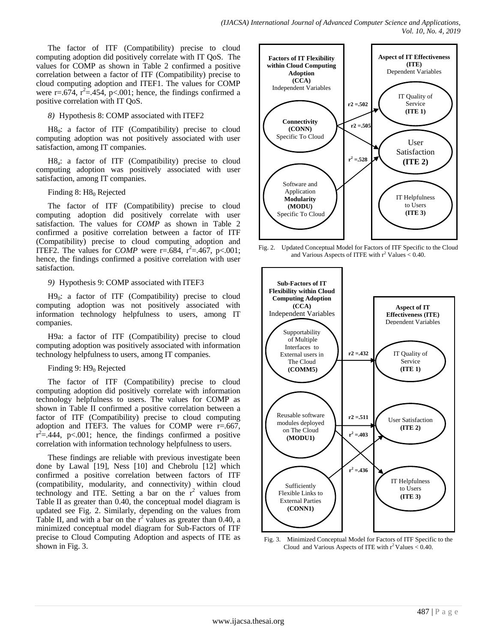The factor of ITF (Compatibility) precise to cloud computing adoption did positively correlate with IT QoS. The values for COMP as shown in Table 2 confirmed a positive correlation between a factor of ITF (Compatibility) precise to cloud computing adoption and ITEF1. The values for COMP were r=.674,  $r^2$ =.454, p<.001; hence, the findings confirmed a positive correlation with IT QoS.

# *8)* Hypothesis 8: COMP associated with ITEF2

 $H8_0$ : a factor of ITF (Compatibility) precise to cloud computing adoption was not positively associated with user satisfaction, among IT companies.

H8<sub>a</sub>: a factor of ITF (Compatibility) precise to cloud computing adoption was positively associated with user satisfaction, among IT companies.

## Finding 8:  $H8<sub>0</sub>$  Rejected

The factor of ITF (Compatibility) precise to cloud computing adoption did positively correlate with user satisfaction. The values for *COMP* as shown in Table 2 confirmed a positive correlation between a factor of ITF (Compatibility) precise to cloud computing adoption and **ITEF2.** The values for *COMP* were r=.684,  $r^2 = .467$ , p<.001; hence, the findings confirmed a positive correlation with user satisfaction.

# *9)* Hypothesis 9: COMP associated with ITEF3

 $H9<sub>0</sub>$ : a factor of ITF (Compatibility) precise to cloud computing adoption was not positively associated with information technology helpfulness to users, among IT companies.

H9a: a factor of ITF (Compatibility) precise to cloud computing adoption was positively associated with information technology helpfulness to users, among IT companies.

# Finding 9:  $H9_0$  Rejected

The factor of ITF (Compatibility) precise to cloud computing adoption did positively correlate with information technology helpfulness to users. The values for COMP as shown in Table II confirmed a positive correlation between a factor of ITF (Compatibility) precise to cloud computing adoption and ITEF3. The values for COMP were  $r = .667$ ,  $r^2 = .444$ , p<.001; hence, the findings confirmed a positive correlation with information technology helpfulness to users.

These findings are reliable with previous investigate been done by Lawal [19], Ness [10] and Chebrolu [12] which confirmed a positive correlation between factors of ITF (compatibility, modularity, and connectivity) within cloud technology and ITE. Setting a bar on the  $r^2$  values from Table II as greater than 0.40, the conceptual model diagram is updated see Fig. 2. Similarly, depending on the values from Table II, and with a bar on the  $r^2$  values as greater than 0.40, a minimized conceptual model diagram for Sub-Factors of ITF precise to Cloud Computing Adoption and aspects of ITE as shown in Fig. 3.



Fig. 2. Updated Conceptual Model for Factors of ITF Specific to the Cloud and Various Aspects of ITFE with  $r^2$  Values < 0.40.



Fig. 3. Minimized Conceptual Model for Factors of ITF Specific to the Cloud and Various Aspects of ITE with  $r^2$  Values < 0.40.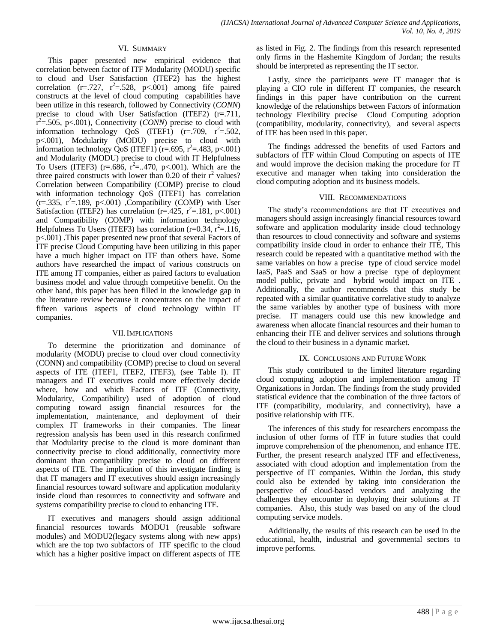## VI. SUMMARY

This paper presented new empirical evidence that correlation between factor of ITF Modularity (MODU) specific to cloud and User Satisfaction (ITEF2) has the highest correlation  $(r=.727, r^2=.528, p<.001)$  among fife paired constructs at the level of cloud computing capabilities have been utilize in this research, followed by Connectivity (*CONN*) precise to cloud with User Satisfaction (ITEF2) (r=.711,  $\hat{r}^2$ =.505, p<.001), Connectivity (*CONN*) precise to cloud with information technology  $QoS$  (ITEF1) (r=.709, r<sup>2</sup>=.502, p<.001), Modularity (MODU) precise to cloud with information technology QoS (ITEF1)  $(r=.695, r^2=.483, p<.001)$ and Modularity (MODU) precise to cloud with IT Helpfulness To Users (ITEF3) (r=.686, r<sup>2</sup>=..470, p<.001). Which are the three paired constructs with lower than 0.20 of their  $r^2$  values? Correlation between Compatibility (COMP) precise to cloud with information technology QoS (ITEF1) has correlation  $(r=.335, r^2=.189, p<.001)$ , Compatibility (COMP) with User Satisfaction (ITEF2) has correlation ( $r = .425$ ,  $r^2 = .181$ ,  $p < .001$ ) and Compatibility (COMP) with information technology Helpfulness To Users (ITEF3) has correlation  $(r=0.34, r^2=116, r^2)$ p<.001) .This paper presented new proof that several Factors of ITF precise Cloud Computing have been utilizing in this paper have a much higher impact on ITF than others have. Some authors have researched the impact of various constructs on ITE among IT companies, either as paired factors to evaluation business model and value through competitive benefit. On the other hand, this paper has been filled in the knowledge gap in the literature review because it concentrates on the impact of fifteen various aspects of cloud technology within IT companies.

#### VII.IMPLICATIONS

To determine the prioritization and dominance of modularity (MODU) precise to cloud over cloud connectivity (CONN) and compatibility (COMP) precise to cloud on several aspects of ITE (ITEF1, ITEF2, ITEF3), (see Table I). IT managers and IT executives could more effectively decide where, how and which Factors of ITF (Connectivity, Modularity, Compatibility) used of adoption of cloud computing toward assign financial resources for the implementation, maintenance, and deployment of their complex IT frameworks in their companies. The linear regression analysis has been used in this research confirmed that Modularity precise to the cloud is more dominant than connectivity precise to cloud additionally, connectivity more dominant than compatibility precise to cloud on different aspects of ITE. The implication of this investigate finding is that IT managers and IT executives should assign increasingly financial resources toward software and application modularity inside cloud than resources to connectivity and software and systems compatibility precise to cloud to enhancing ITE.

IT executives and managers should assign additional financial resources towards MODU1 (reusable software modules) and MODU2(legacy systems along with new apps) which are the top two subfactors of ITF specific to the cloud which has a higher positive impact on different aspects of ITE as listed in Fig. 2. The findings from this research represented only firms in the Hashemite Kingdom of Jordan; the results should be interpreted as representing the IT sector.

Lastly, since the participants were IT manager that is playing a CIO role in different IT companies, the research findings in this paper have contribution on the current knowledge of the relationships between Factors of information technology Flexibility precise Cloud Computing adoption (compatibility, modularity, connectivity), and several aspects of ITE has been used in this paper.

The findings addressed the benefits of used Factors and subfactors of ITF within Cloud Computing on aspects of ITE and would improve the decision making the procedure for IT executive and manager when taking into consideration the cloud computing adoption and its business models.

## VIII. RECOMMENDATIONS

The study's recommendations are that IT executives and managers should assign increasingly financial resources toward software and application modularity inside cloud technology than resources to cloud connectivity and software and systems compatibility inside cloud in order to enhance their ITE, This research could be repeated with a quantitative method with the same variables on how a precise type of cloud service model IaaS, PaaS and SaaS or how a precise type of deployment model public, private and hybrid would impact on ITE . Additionally, the author recommends that this study be repeated with a similar quantitative correlative study to analyze the same variables by another type of business with more precise. IT managers could use this new knowledge and awareness when allocate financial resources and their human to enhancing their ITE and deliver services and solutions through the cloud to their business in a dynamic market.

## IX. CONCLUSIONS AND FUTURE WORK

This study contributed to the limited literature regarding cloud computing adoption and implementation among IT Organizations in Jordan. The findings from the study provided statistical evidence that the combination of the three factors of ITF (compatibility, modularity, and connectivity), have a positive relationship with ITE.

The inferences of this study for researchers encompass the inclusion of other forms of ITF in future studies that could improve comprehension of the phenomenon, and enhance ITE. Further, the present research analyzed ITF and effectiveness, associated with cloud adoption and implementation from the perspective of IT companies. Within the Jordan, this study could also be extended by taking into consideration the perspective of cloud-based vendors and analyzing the challenges they encounter in deploying their solutions at IT companies. Also, this study was based on any of the cloud computing service models.

Additionally, the results of this research can be used in the educational, health, industrial and governmental sectors to improve performs.